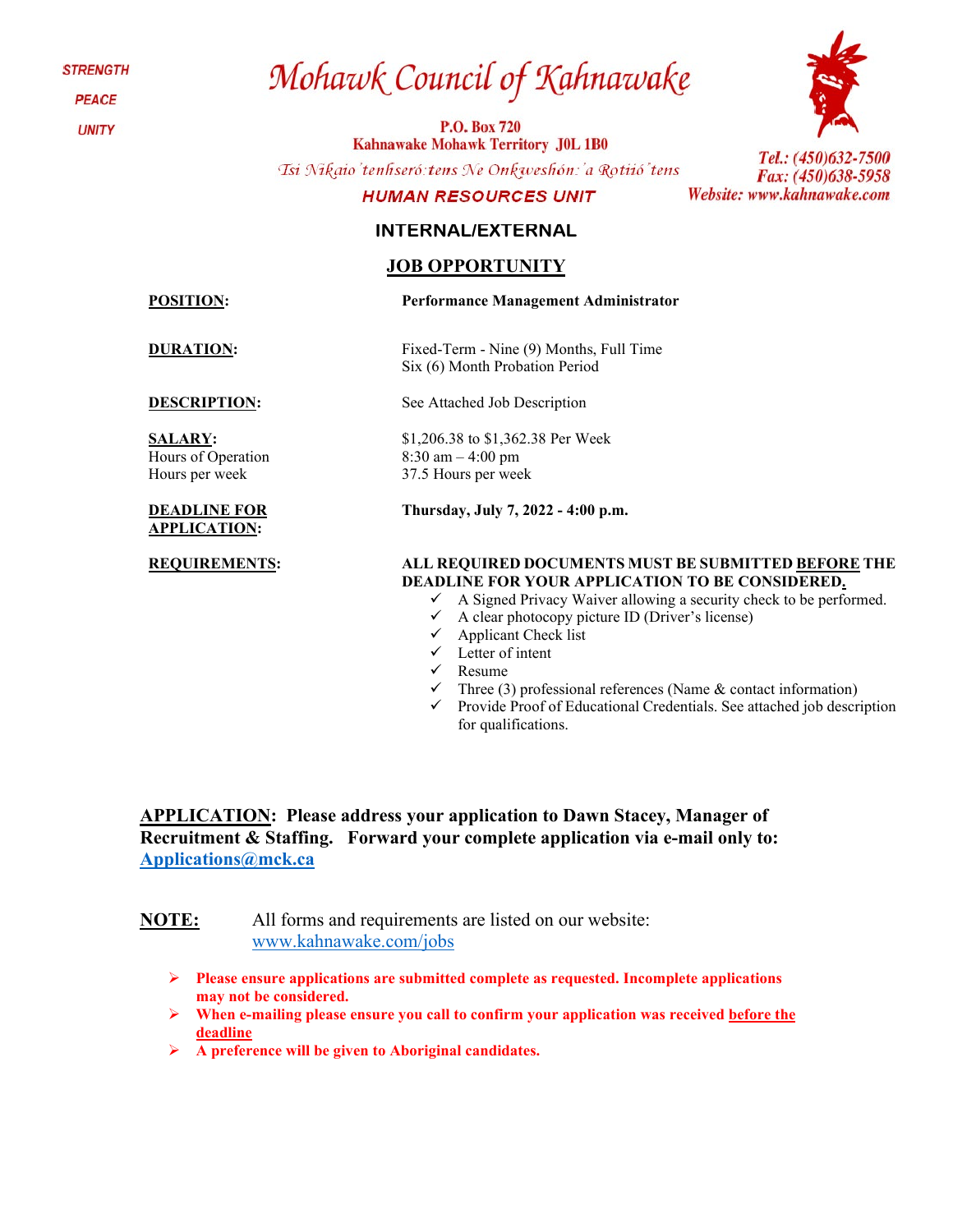**STRENGTH** 

**PEACE** 

**UNITY** 

# Mohawk Council of Kahnawake

**P.O. Box 720 Kahnawake Mohawk Territory J0L 1B0** 

Tsi Nikaio'tenhseró: tens Ne Onkweshón: 'a Rotiió' tens

## **HUMAN RESOURCES UNIT**

# **INTERNAL/EXTERNAL**

# **JOB OPPORTUNITY**

**SALARY:**  Hours of Operation Hours per week

#### **DEADLINE FOR APPLICATION:**

Tel.: (450)632-7500

Fax: (450)638-5958 Website: www.kahnawake.com

**POSITION: Performance Management Administrator** 

**DURATION:** Fixed-Term - Nine (9) Months, Full Time Six (6) Month Probation Period

**DESCRIPTION:** See Attached Job Description

\$1,206.38 to \$1,362.38 Per Week 8:30 am – 4:00 pm 37.5 Hours per week

**Thursday, July 7, 2022 - 4:00 p.m.**

#### **REQUIREMENTS: ALL REQUIRED DOCUMENTS MUST BE SUBMITTED BEFORE THE DEADLINE FOR YOUR APPLICATION TO BE CONSIDERED.**

- $\checkmark$  A Signed Privacy Waiver allowing a security check to be performed.
- $\checkmark$  A clear photocopy picture ID (Driver's license)
- $\checkmark$  Applicant Check list
- $\checkmark$  Letter of intent
- $\checkmark$  Resume
	- Three (3) professional references (Name & contact information)
- $\checkmark$  Provide Proof of Educational Credentials. See attached job description for qualifications.

**APPLICATION: Please address your application to Dawn Stacey, Manager of Recruitment & Staffing. Forward your complete application via e-mail only to: [Applications@mck.ca](mailto:Applications@mck.ca)**

**NOTE:** All forms and requirements are listed on our website: [www.kahnawake.com/jobs](http://www.kahnawake.com/jobs)

- **Please ensure applications are submitted complete as requested. Incomplete applications may not be considered.**
- **When e-mailing please ensure you call to confirm your application was received before the deadline**
- **A preference will be given to Aboriginal candidates.**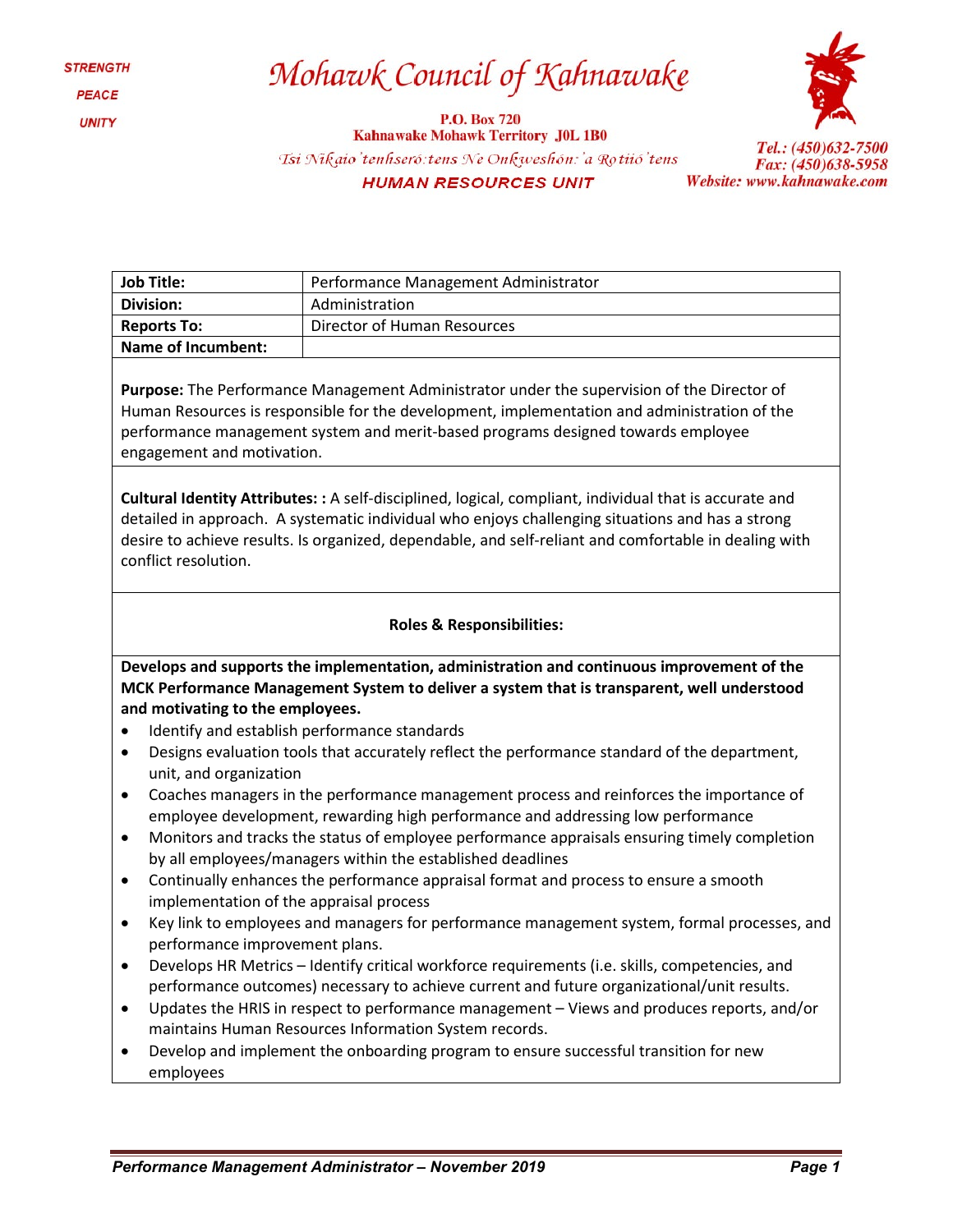# Mohawk Council of Kahnawake

**P.O. Box 720 Kahnawake Mohawk Territory J0L 1B0** Tsi Nikaio'tenhseró: tens Ne Onkweshón: 'a Rotiió' tens **HUMAN RESOURCES UNIT** 



Tel.: (450)632-7500 Fax: (450)638-5958 Website: www.kahnawake.com

| Job Title:         | Performance Management Administrator |  |  |  |
|--------------------|--------------------------------------|--|--|--|
| Division:          | Administration                       |  |  |  |
| <b>Reports To:</b> | Director of Human Resources          |  |  |  |
| Name of Incumbent: |                                      |  |  |  |
|                    |                                      |  |  |  |

**Purpose:** The Performance Management Administrator under the supervision of the Director of Human Resources is responsible for the development, implementation and administration of the performance management system and merit-based programs designed towards employee engagement and motivation.

**Cultural Identity Attributes: :** A self-disciplined, logical, compliant, individual that is accurate and detailed in approach. A systematic individual who enjoys challenging situations and has a strong desire to achieve results. Is organized, dependable, and self-reliant and comfortable in dealing with conflict resolution.

### **Roles & Responsibilities:**

**Develops and supports the implementation, administration and continuous improvement of the MCK Performance Management System to deliver a system that is transparent, well understood and motivating to the employees.**

- Identify and establish performance standards
- Designs evaluation tools that accurately reflect the performance standard of the department, unit, and organization
- Coaches managers in the performance management process and reinforces the importance of employee development, rewarding high performance and addressing low performance
- Monitors and tracks the status of employee performance appraisals ensuring timely completion by all employees/managers within the established deadlines
- Continually enhances the performance appraisal format and process to ensure a smooth implementation of the appraisal process
- Key link to employees and managers for performance management system, formal processes, and performance improvement plans.
- Develops HR Metrics Identify critical workforce requirements (i.e. skills, competencies, and performance outcomes) necessary to achieve current and future organizational/unit results.
- Updates the HRIS in respect to performance management Views and produces reports, and/or maintains Human Resources Information System records.
- Develop and implement the onboarding program to ensure successful transition for new employees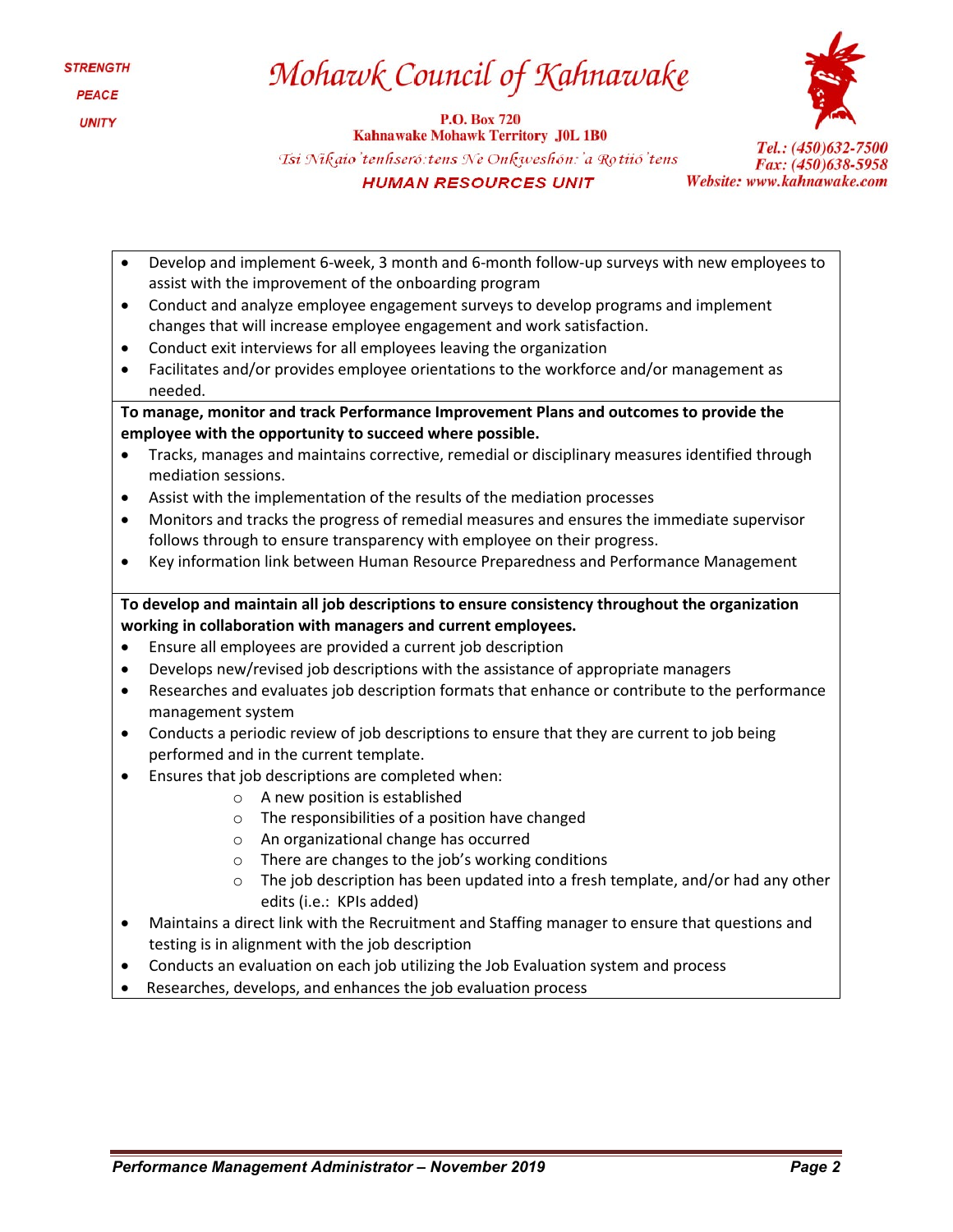# Mohawk Council of Kahnawake

**P.O. Box 720 Kahnawake Mohawk Territory J0L 1B0** Tsi Nikaio'tenhseró: tens Ne Onkweshón: 'a Rotiió' tens **HUMAN RESOURCES UNIT** 



- Develop and implement 6-week, 3 month and 6-month follow-up surveys with new employees to assist with the improvement of the onboarding program
- Conduct and analyze employee engagement surveys to develop programs and implement changes that will increase employee engagement and work satisfaction.
- Conduct exit interviews for all employees leaving the organization
- Facilitates and/or provides employee orientations to the workforce and/or management as needed.

**To manage, monitor and track Performance Improvement Plans and outcomes to provide the employee with the opportunity to succeed where possible.**

- Tracks, manages and maintains corrective, remedial or disciplinary measures identified through mediation sessions.
- Assist with the implementation of the results of the mediation processes
- Monitors and tracks the progress of remedial measures and ensures the immediate supervisor follows through to ensure transparency with employee on their progress.
- Key information link between Human Resource Preparedness and Performance Management

# **To develop and maintain all job descriptions to ensure consistency throughout the organization working in collaboration with managers and current employees.**

- Ensure all employees are provided a current job description
- Develops new/revised job descriptions with the assistance of appropriate managers
- Researches and evaluates job description formats that enhance or contribute to the performance management system
- Conducts a periodic review of job descriptions to ensure that they are current to job being performed and in the current template.
- Ensures that job descriptions are completed when:
	- o A new position is established
	- o The responsibilities of a position have changed
	- o An organizational change has occurred
	- o There are changes to the job's working conditions
	- $\circ$  The job description has been updated into a fresh template, and/or had any other edits (i.e.: KPIs added)
- Maintains a direct link with the Recruitment and Staffing manager to ensure that questions and testing is in alignment with the job description
- Conducts an evaluation on each job utilizing the Job Evaluation system and process
- Researches, develops, and enhances the job evaluation process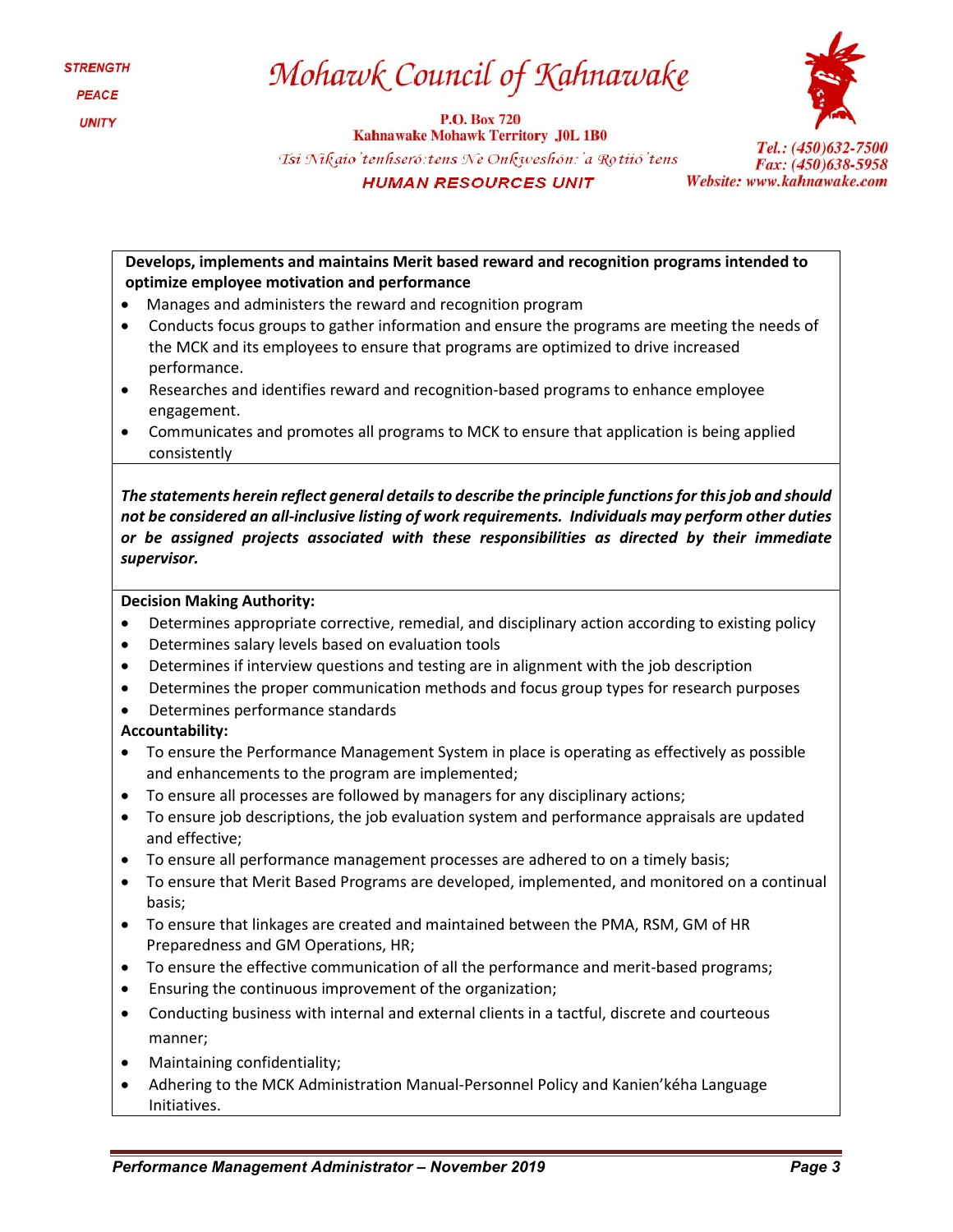# Mohawk Council of Kahnawake

**P.O. Box 720 Kahnawake Mohawk Territory J0L 1B0** Tsi Nikaio'tenhseró: tens Ne Onkweshón: 'a Rotiió'tens **HUMAN RESOURCES UNIT** 



**Develops, implements and maintains Merit based reward and recognition programs intended to optimize employee motivation and performance**

- Manages and administers the reward and recognition program
- Conducts focus groups to gather information and ensure the programs are meeting the needs of the MCK and its employees to ensure that programs are optimized to drive increased performance.
- Researches and identifies reward and recognition-based programs to enhance employee engagement.
- Communicates and promotes all programs to MCK to ensure that application is being applied consistently

*The statements herein reflect general details to describe the principle functions for this job and should not be considered an all-inclusive listing of work requirements. Individuals may perform other duties or be assigned projects associated with these responsibilities as directed by their immediate supervisor.*

### **Decision Making Authority:**

- Determines appropriate corrective, remedial, and disciplinary action according to existing policy
- Determines salary levels based on evaluation tools
- Determines if interview questions and testing are in alignment with the job description
- Determines the proper communication methods and focus group types for research purposes
- Determines performance standards

### **Accountability:**

- To ensure the Performance Management System in place is operating as effectively as possible and enhancements to the program are implemented;
- To ensure all processes are followed by managers for any disciplinary actions;
- To ensure job descriptions, the job evaluation system and performance appraisals are updated and effective;
- To ensure all performance management processes are adhered to on a timely basis;
- To ensure that Merit Based Programs are developed, implemented, and monitored on a continual basis;
- To ensure that linkages are created and maintained between the PMA, RSM, GM of HR Preparedness and GM Operations, HR;
- To ensure the effective communication of all the performance and merit-based programs;
- Ensuring the continuous improvement of the organization;
- Conducting business with internal and external clients in a tactful, discrete and courteous manner;
- Maintaining confidentiality;
- Adhering to the MCK Administration Manual-Personnel Policy and Kanien'kéha Language Initiatives.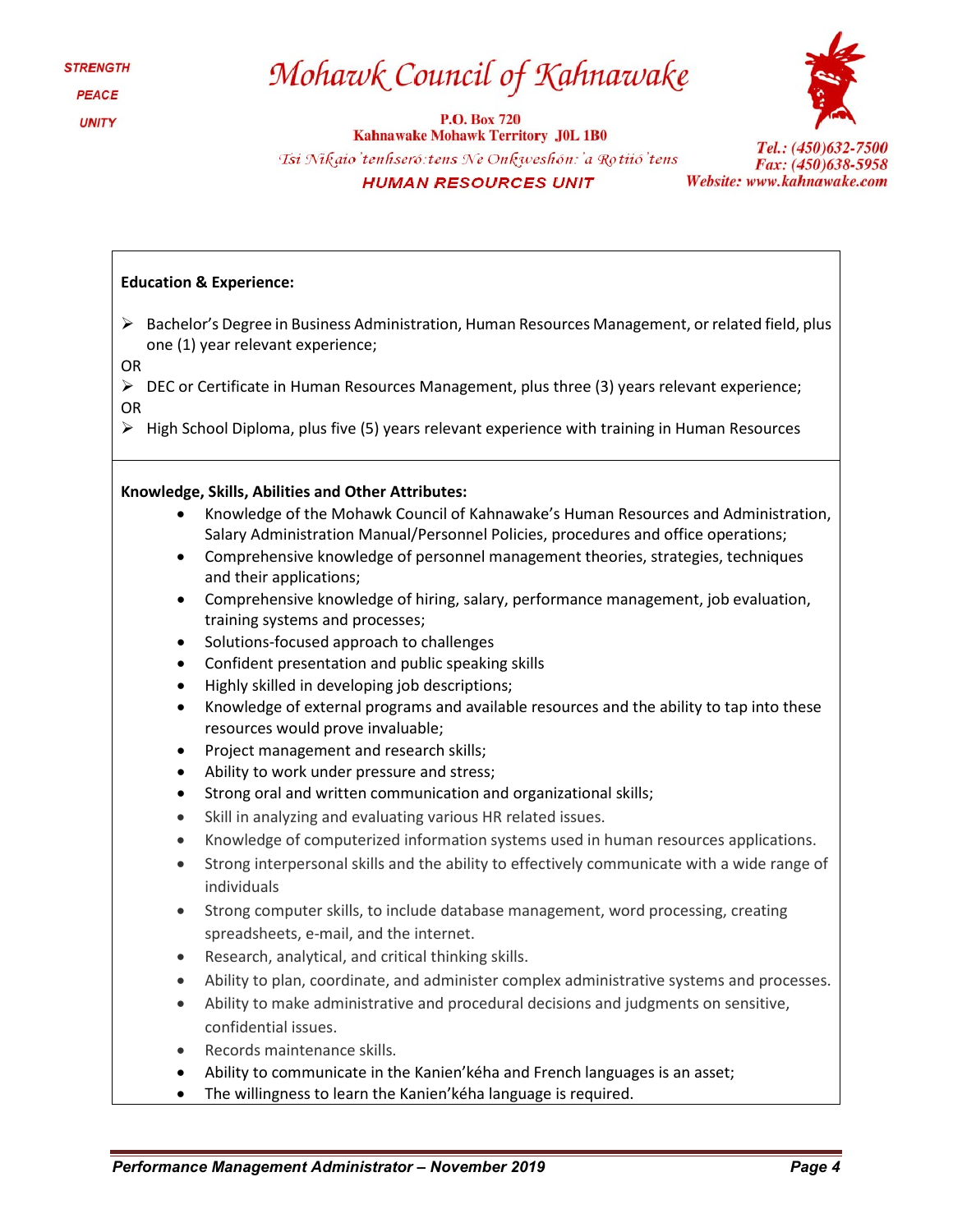# Mohawk Council of Kahnawake

**P.O. Box 720 Kahnawake Mohawk Territory J0L 1B0** Tsi Nikaio'tenhseró: tens Ne Onkweshón: 'a Rotiió' tens **HUMAN RESOURCES UNIT** 



Tel.: (450)632-7500 Fax: (450)638-5958 Website: www.kahnawake.com

### **Education & Experience:**

- $\triangleright$  Bachelor's Degree in Business Administration, Human Resources Management, or related field, plus one (1) year relevant experience;
- OR

 $\triangleright$  DEC or Certificate in Human Resources Management, plus three (3) years relevant experience; OR

 $\triangleright$  High School Diploma, plus five (5) years relevant experience with training in Human Resources

#### **Knowledge, Skills, Abilities and Other Attributes:**

- Knowledge of the Mohawk Council of Kahnawake's Human Resources and Administration, Salary Administration Manual/Personnel Policies, procedures and office operations;
- Comprehensive knowledge of personnel management theories, strategies, techniques and their applications;
- Comprehensive knowledge of hiring, salary, performance management, job evaluation, training systems and processes;
- Solutions-focused approach to challenges
- Confident presentation and public speaking skills
- Highly skilled in developing job descriptions;
- Knowledge of external programs and available resources and the ability to tap into these resources would prove invaluable;
- Project management and research skills;
- Ability to work under pressure and stress;
- Strong oral and written communication and organizational skills;
- Skill in analyzing and evaluating various HR related issues.
- Knowledge of computerized information systems used in human resources applications.
- Strong interpersonal skills and the ability to effectively communicate with a wide range of individuals
- Strong computer skills, to include database management, word processing, creating spreadsheets, e-mail, and the internet.
- Research, analytical, and critical thinking skills.
- Ability to plan, coordinate, and administer complex administrative systems and processes.
- Ability to make administrative and procedural decisions and judgments on sensitive, confidential issues.
- Records maintenance skills.
- Ability to communicate in the Kanien'kéha and French languages is an asset;
- The willingness to learn the Kanien'kéha language is required.